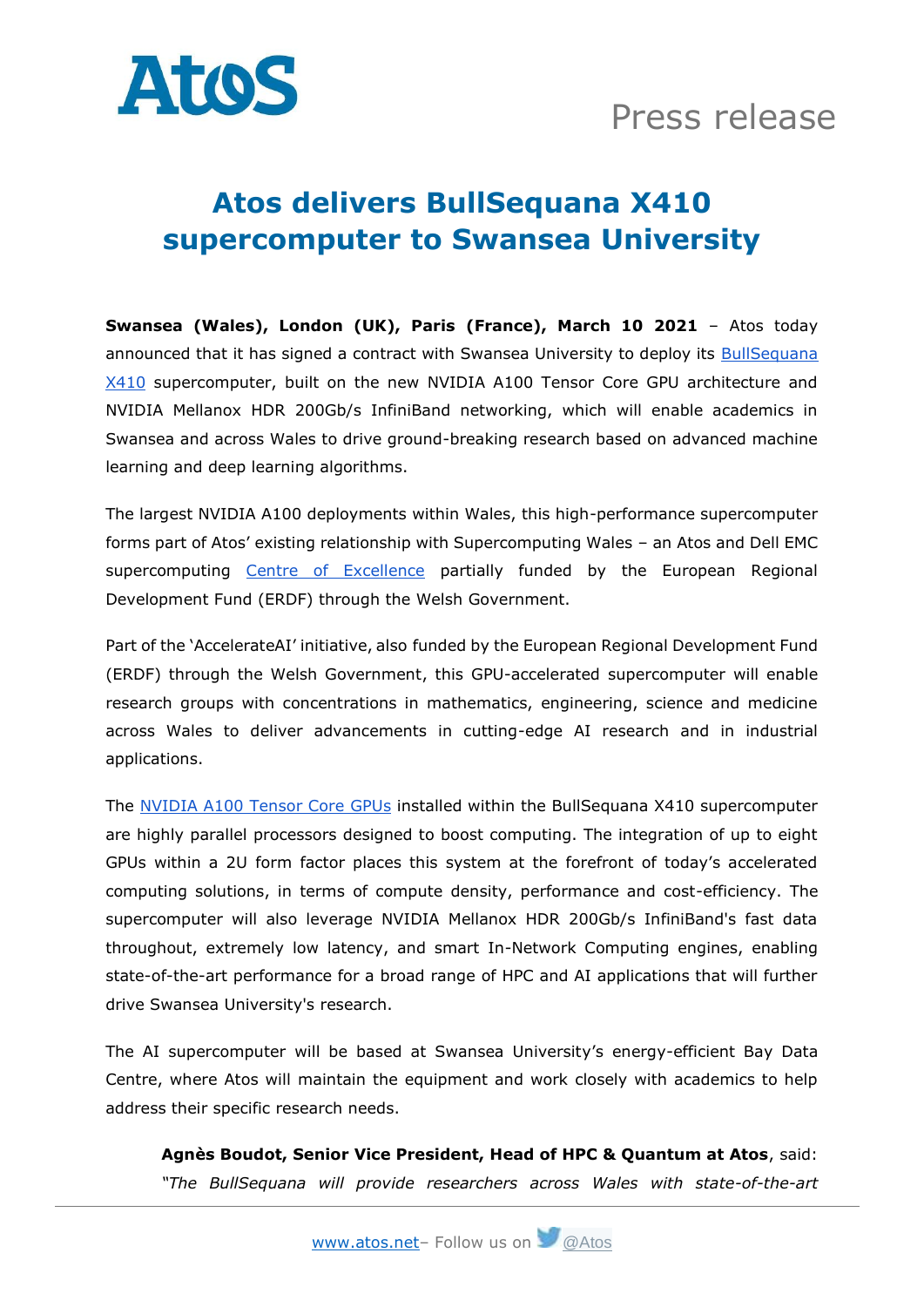

## **Atos delivers BullSequana X410 supercomputer to Swansea University**

**Swansea (Wales), London (UK), Paris (France), March 10 2021** – Atos today announced that it has signed a contract with Swansea University to deploy its BullSequana [X410](https://atos.net/wp-content/uploads/2017/11/FS_BullSequana_X410E5_en1-web.pdf) supercomputer, built on the new NVIDIA A100 Tensor Core GPU architecture and NVIDIA Mellanox HDR 200Gb/s InfiniBand networking, which will enable academics in Swansea and across Wales to drive ground-breaking research based on advanced machine learning and deep learning algorithms.

The largest NVIDIA A100 deployments within Wales, this high-performance supercomputer forms part of Atos' existing relationship with Supercomputing Wales – an Atos and Dell EMC supercomputing [Centre of Excellence](https://atos.net/en/2018/press-release_2018_06_21/atos-wins-deal-establish-supercomputing-centre-excellence-wales) partially funded by the European Regional Development Fund (ERDF) through the Welsh Government.

Part of the 'AccelerateAI' initiative, also funded by the European Regional Development Fund (ERDF) through the Welsh Government, this GPU-accelerated supercomputer will enable research groups with concentrations in mathematics, engineering, science and medicine across Wales to deliver advancements in cutting-edge AI research and in industrial applications.

The [NVIDIA A100 Tensor Core GPUs](https://www.nvidia.com/en-us/data-center/a100/) installed within the BullSequana X410 supercomputer are highly parallel processors designed to boost computing. The integration of up to eight GPUs within a 2U form factor places this system at the forefront of today's accelerated computing solutions, in terms of compute density, performance and cost-efficiency. The supercomputer will also leverage NVIDIA Mellanox HDR 200Gb/s InfiniBand's fast data throughout, extremely low latency, and smart In-Network Computing engines, enabling state-of-the-art performance for a broad range of HPC and AI applications that will further drive Swansea University's research.

The AI supercomputer will be based at Swansea University's energy-efficient Bay Data Centre, where Atos will maintain the equipment and work closely with academics to help address their specific research needs.

**Agnès Boudot, Senior Vice President, Head of HPC & Quantum at Atos**, said: *"The BullSequana will provide researchers across Wales with state-of-the-art*